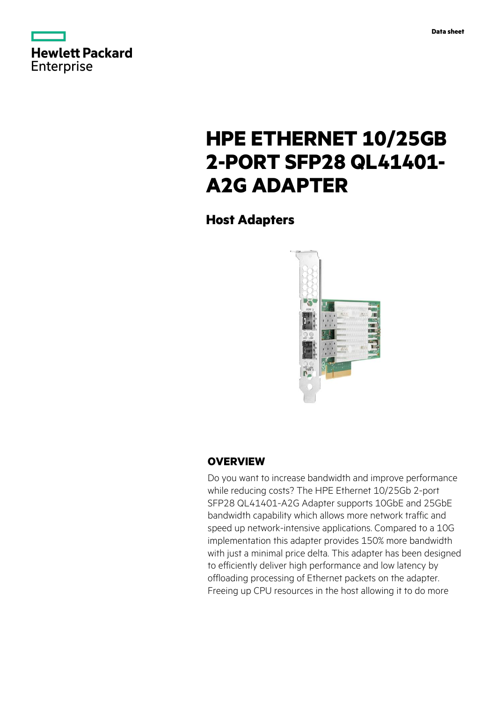



# **HPE ETHERNET 10/25GB 2-PORT SFP28 QL41401- A2G ADAPTER**

**Host Adapters**



## **OVERVIEW**

Do you want to increase bandwidth and improve performance while reducing costs? The HPE Ethernet 10/25Gb 2-port SFP28 QL41401-A2G Adapter supports 10GbE and 25GbE bandwidth capability which allows more network traffic and speed up network-intensive applications. Compared to a 10G implementation this adapter provides 150% more bandwidth with just a minimal price delta. This adapter has been designed to efficiently deliver high performance and low latency by offloading processing of Ethernet packets on the adapter. Freeing up CPU resources in the host allowing it to do more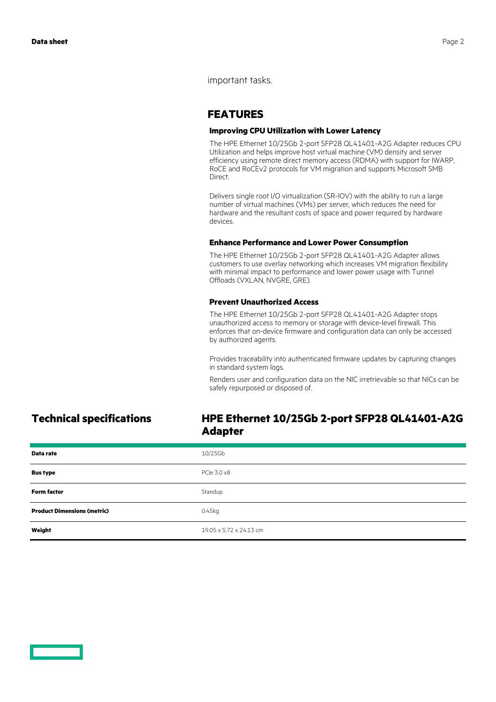important tasks.

## **FEATURES**

### **Improving CPU Utilization with Lower Latency**

The HPE Ethernet 10/25Gb 2-port SFP28 QL41401-A2G Adapter reduces CPU Utilization and helps improve host virtual machine (VM) density and server efficiency using remote direct memory access (RDMA) with support for IWARP, RoCE and RoCEv2 protocols for VM migration and supports Microsoft SMB Direct.

Delivers single root I/O virtualization (SR-IOV) with the ability to run a large number of virtual machines (VMs) per server, which reduces the need for hardware and the resultant costs of space and power required by hardware devices.

### **Enhance Performance and Lower Power Consumption**

The HPE Ethernet 10/25Gb 2-port SFP28 QL41401-A2G Adapter allows customers to use overlay networking which increases VM migration flexibility with minimal impact to performance and lower power usage with Tunnel Offloads (VXLAN, NVGRE, GRE).

### **Prevent Unauthorized Access**

The HPE Ethernet 10/25Gb 2-port SFP28 QL41401-A2G Adapter stops unauthorized access to memory or storage with device-level firewall. This enforces that on-device firmware and configuration data can only be accessed by authorized agents.

Provides traceability into authenticated firmware updates by capturing changes in standard system logs.

Renders user and configuration data on the NIC irretrievable so that NICs can be safely repurposed or disposed of.

## **Technical specifications HPE Ethernet 10/25Gb 2-port SFP28 QL41401-A2G Adapter**

| Data rate                          | 10/25Gb                 |
|------------------------------------|-------------------------|
| <b>Bus type</b>                    | PCIe 3.0 x8             |
| <b>Form factor</b>                 | Standup                 |
| <b>Product Dimensions (metric)</b> | 0.45kg                  |
| Weight                             | 19.05 x 5.72 x 24.13 cm |